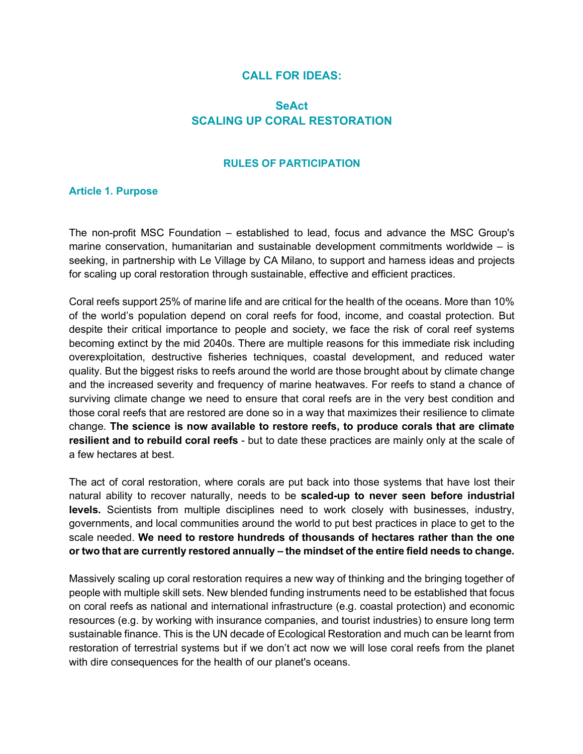## **CALL FOR IDEAS:**

# **SeAct SCALING UP CORAL RESTORATION**

#### **RULES OF PARTICIPATION**

#### **Article 1. Purpose**

The non-profit MSC Foundation – established to lead, focus and advance the MSC Group's marine conservation, humanitarian and sustainable development commitments worldwide – is seeking, in partnership with Le Village by CA Milano, to support and harness ideas and projects for scaling up coral restoration through sustainable, effective and efficient practices.

Coral reefs support 25% of marine life and are critical for the health of the oceans. More than 10% of the world's population depend on coral reefs for food, income, and coastal protection. But despite their critical importance to people and society, we face the risk of coral reef systems becoming extinct by the mid 2040s. There are multiple reasons for this immediate risk including overexploitation, destructive fisheries techniques, coastal development, and reduced water quality. But the biggest risks to reefs around the world are those brought about by climate change and the increased severity and frequency of marine heatwaves. For reefs to stand a chance of surviving climate change we need to ensure that coral reefs are in the very best condition and those coral reefs that are restored are done so in a way that maximizes their resilience to climate change. **The science is now available to restore reefs, to produce corals that are climate resilient and to rebuild coral reefs** - but to date these practices are mainly only at the scale of a few hectares at best.

The act of coral restoration, where corals are put back into those systems that have lost their natural ability to recover naturally, needs to be **scaled-up to never seen before industrial levels.** Scientists from multiple disciplines need to work closely with businesses, industry, governments, and local communities around the world to put best practices in place to get to the scale needed. **We need to restore hundreds of thousands of hectares rather than the one or two that are currently restored annually – the mindset of the entire field needs to change.**

Massively scaling up coral restoration requires a new way of thinking and the bringing together of people with multiple skill sets. New blended funding instruments need to be established that focus on coral reefs as national and international infrastructure (e.g. coastal protection) and economic resources (e.g. by working with insurance companies, and tourist industries) to ensure long term sustainable finance. This is the UN decade of Ecological Restoration and much can be learnt from restoration of terrestrial systems but if we don't act now we will lose coral reefs from the planet with dire consequences for the health of our planet's oceans.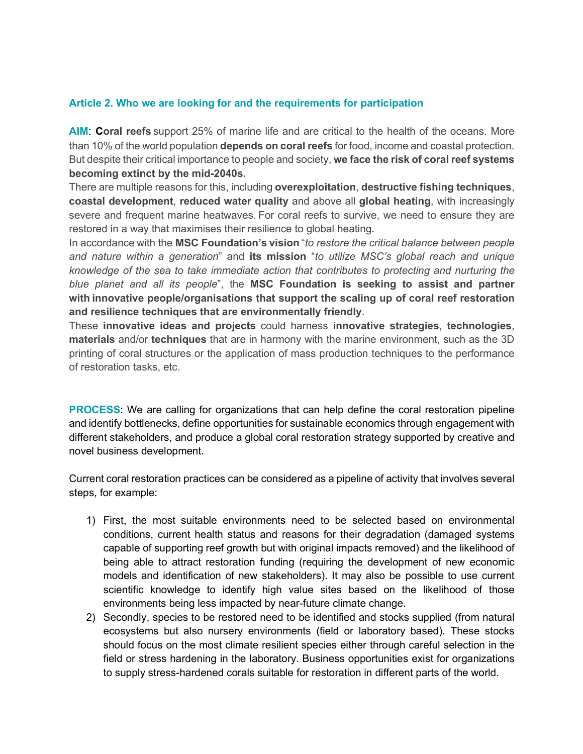### **Article 2. Who we are looking for and the requirements for participation**

**AIM**: **Coral reefs** support 25% of marine life and are critical to the health of the oceans. More than 10% of the world population **depends on coral reefs** for food, income and coastal protection. But despite their critical importance to people and society, **we face the risk of coral reef systems becoming extinct by the mid-2040s.**

There are multiple reasons for this, including **overexploitation**, **destructive fishing techniques**, **coastal development**, **reduced water quality** and above all **global heating**, with increasingly severe and frequent marine heatwaves. For coral reefs to survive, we need to ensure they are restored in a way that maximises their resilience to global heating.

In accordance with the **MSC Foundation's vision** "*to restore the critical balance between people and nature within a generation*" and **its mission** "*to utilize MSC's global reach and unique knowledge of the sea to take immediate action that contributes to protecting and nurturing the blue planet and all its people*", the **MSC Foundation is seeking to assist and partner**  with innovative people/organisations that support the scaling up of coral reef restoration **and resilience techniques that are environmentally friendly**.

These **innovative ideas and projects** could harness **innovative strategies**, **technologies**, **materials** and/or **techniques** that are in harmony with the marine environment, such as the 3D printing of coral structures or the application of mass production techniques to the performance of restoration tasks, etc.

**PROCESS:** We are calling for organizations that can help define the coral restoration pipeline and identify bottlenecks, define opportunities for sustainable economics through engagement with different stakeholders, and produce a global coral restoration strategy supported by creative and novel business development.

Current coral restoration practices can be considered as a pipeline of activity that involves several steps, for example:

- 1) First, the most suitable environments need to be selected based on environmental conditions, current health status and reasons for their degradation (damaged systems capable of supporting reef growth but with original impacts removed) and the likelihood of being able to attract restoration funding (requiring the development of new economic models and identification of new stakeholders). It may also be possible to use current scientific knowledge to identify high value sites based on the likelihood of those environments being less impacted by near-future climate change.
- 2) Secondly, species to be restored need to be identified and stocks supplied (from natural ecosystems but also nursery environments (field or laboratory based). These stocks should focus on the most climate resilient species either through careful selection in the field or stress hardening in the laboratory. Business opportunities exist for organizations to supply stress-hardened corals suitable for restoration in different parts of the world.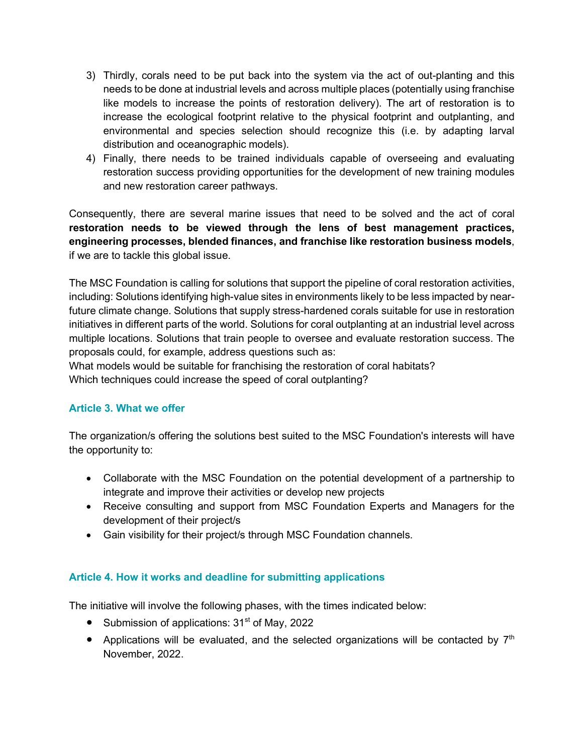- 3) Thirdly, corals need to be put back into the system via the act of out-planting and this needs to be done at industrial levels and across multiple places (potentially using franchise like models to increase the points of restoration delivery). The art of restoration is to increase the ecological footprint relative to the physical footprint and outplanting, and environmental and species selection should recognize this (i.e. by adapting larval distribution and oceanographic models).
- 4) Finally, there needs to be trained individuals capable of overseeing and evaluating restoration success providing opportunities for the development of new training modules and new restoration career pathways.

Consequently, there are several marine issues that need to be solved and the act of coral **restoration needs to be viewed through the lens of best management practices, engineering processes, blended finances, and franchise like restoration business models**, if we are to tackle this global issue.

The MSC Foundation is calling for solutions that support the pipeline of coral restoration activities, including: Solutions identifying high-value sites in environments likely to be less impacted by nearfuture climate change. Solutions that supply stress-hardened corals suitable for use in restoration initiatives in different parts of the world. Solutions for coral outplanting at an industrial level across multiple locations. Solutions that train people to oversee and evaluate restoration success. The proposals could, for example, address questions such as:

What models would be suitable for franchising the restoration of coral habitats? Which techniques could increase the speed of coral outplanting?

# **Article 3. What we offer**

The organization/s offering the solutions best suited to the MSC Foundation's interests will have the opportunity to:

- Collaborate with the MSC Foundation on the potential development of a partnership to integrate and improve their activities or develop new projects
- Receive consulting and support from MSC Foundation Experts and Managers for the development of their project/s
- Gain visibility for their project/s through MSC Foundation channels.

# **Article 4. How it works and deadline for submitting applications**

The initiative will involve the following phases, with the times indicated below:

- Submission of applications:  $31<sup>st</sup>$  of May, 2022
- Applications will be evaluated, and the selected organizations will be contacted by  $7<sup>th</sup>$ November, 2022.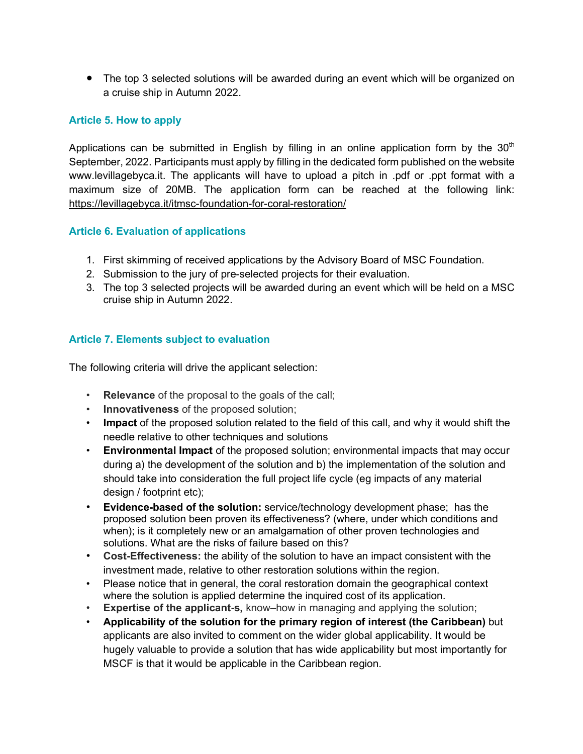• The top 3 selected solutions will be awarded during an event which will be organized on a cruise ship in Autumn 2022.

### **Article 5. How to apply**

Applications can be submitted in English by filling in an online application form by the  $30<sup>th</sup>$ September, 2022. Participants must apply by filling in the dedicated form published on the website www.levillagebyca.it. The applicants will have to upload a pitch in .pdf or .ppt format with a maximum size of 20MB. The application form can be reached at the following link: https://levillagebyca.it/itmsc-foundation-for-coral-restoration/

### **Article 6. Evaluation of applications**

- 1. First skimming of received applications by the Advisory Board of MSC Foundation.
- 2. Submission to the jury of pre-selected projects for their evaluation.
- 3. The top 3 selected projects will be awarded during an event which will be held on a MSC cruise ship in Autumn 2022.

### **Article 7. Elements subject to evaluation**

The following criteria will drive the applicant selection:

- **Relevance** of the proposal to the goals of the call;
- **Innovativeness** of the proposed solution;
- **Impact** of the proposed solution related to the field of this call, and why it would shift the needle relative to other techniques and solutions
- **Environmental Impact** of the proposed solution; environmental impacts that may occur during a) the development of the solution and b) the implementation of the solution and should take into consideration the full project life cycle (eg impacts of any material design / footprint etc);
- **Evidence-based of the solution:** service/technology development phase; has the proposed solution been proven its effectiveness? (where, under which conditions and when); is it completely new or an amalgamation of other proven technologies and solutions. What are the risks of failure based on this?
- **Cost-Effectiveness:** the ability of the solution to have an impact consistent with the investment made, relative to other restoration solutions within the region.
- Please notice that in general, the coral restoration domain the geographical context where the solution is applied determine the inquired cost of its application.
- **Expertise of the applicant-s,** know–how in managing and applying the solution;
- **Applicability of the solution for the primary region of interest (the Caribbean)** but applicants are also invited to comment on the wider global applicability. It would be hugely valuable to provide a solution that has wide applicability but most importantly for MSCF is that it would be applicable in the Caribbean region.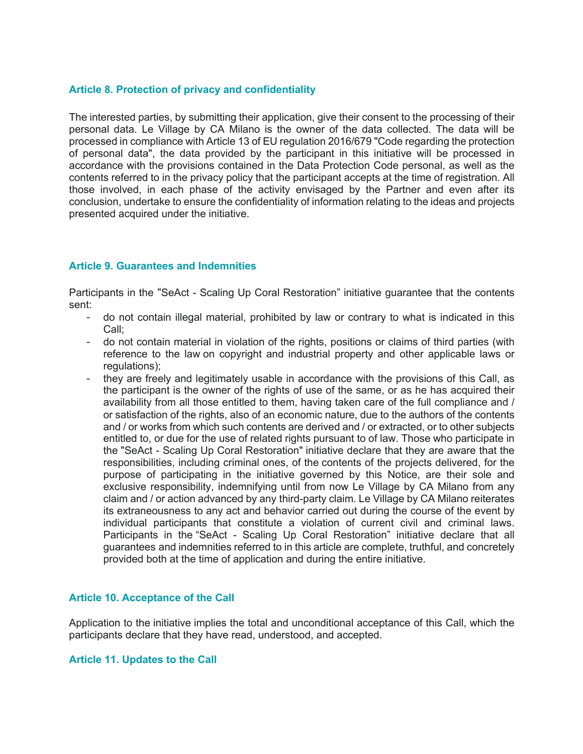#### **Article 8. Protection of privacy and confidentiality**

The interested parties, by submitting their application, give their consent to the processing of their personal data. Le Village by CA Milano is the owner of the data collected. The data will be processed in compliance with Article 13 of EU regulation 2016/679 "Code regarding the protection of personal data", the data provided by the participant in this initiative will be processed in accordance with the provisions contained in the Data Protection Code personal, as well as the contents referred to in the privacy policy that the participant accepts at the time of registration. All those involved, in each phase of the activity envisaged by the Partner and even after its conclusion, undertake to ensure the confidentiality of information relating to the ideas and projects presented acquired under the initiative.

#### **Article 9. Guarantees and Indemnities**

Participants in the "SeAct - Scaling Up Coral Restoration" initiative guarantee that the contents sent:

- do not contain illegal material, prohibited by law or contrary to what is indicated in this Call;
- do not contain material in violation of the rights, positions or claims of third parties (with reference to the law on copyright and industrial property and other applicable laws or regulations);
- they are freely and legitimately usable in accordance with the provisions of this Call, as the participant is the owner of the rights of use of the same, or as he has acquired their availability from all those entitled to them, having taken care of the full compliance and / or satisfaction of the rights, also of an economic nature, due to the authors of the contents and / or works from which such contents are derived and / or extracted, or to other subjects entitled to, or due for the use of related rights pursuant to of law. Those who participate in the "SeAct - Scaling Up Coral Restoration" initiative declare that they are aware that the responsibilities, including criminal ones, of the contents of the projects delivered, for the purpose of participating in the initiative governed by this Notice, are their sole and exclusive responsibility, indemnifying until from now Le Village by CA Milano from any claim and / or action advanced by any third-party claim. Le Village by CA Milano reiterates its extraneousness to any act and behavior carried out during the course of the event by individual participants that constitute a violation of current civil and criminal laws. Participants in the "SeAct - Scaling Up Coral Restoration" initiative declare that all guarantees and indemnities referred to in this article are complete, truthful, and concretely provided both at the time of application and during the entire initiative.

#### **Article 10. Acceptance of the Call**

Application to the initiative implies the total and unconditional acceptance of this Call, which the participants declare that they have read, understood, and accepted.

#### **Article 11. Updates to the Call**